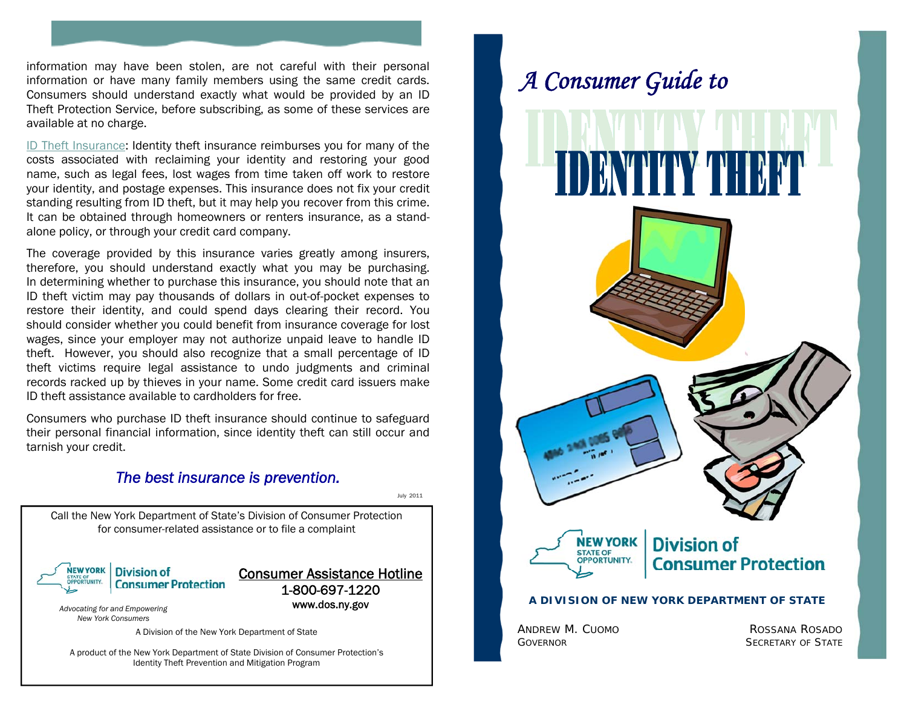information may have been stolen, are not careful with their personal information or have many family members using the same credit cards. Consumers should understand exactly what would be provided by an ID Theft Protection Service, before subscribing, as some of these services are available at no charge.

ID Theft Insurance: Identity theft insurance reimburses you for many of the costs associated with reclaiming your identity and restoring your good name, such as legal fees, lost wages from time taken off work to restore your identity, and postage expenses. This insurance does not fix your credit standing resulting from ID theft, but it may help you recover from this crime. It can be obtained through homeowners or renters insurance, as a standalone policy, or through your credit card company.

The coverage provided by this insurance varies greatly among insurers, therefore, you should understand exactly what you may be purchasing. In determining whether to purchase this insurance, you should note that an ID theft victim may pay thousands of dollars in out-of-pocket expenses to restore their identity, and could spend days clearing their record. You should consider whether you could benefit from insurance coverage for lost wages, since your employer may not authorize unpaid leave to handle ID theft. However, you should also recognize that a small percentage of ID theft victims require legal assistance to undo judgments and criminal records racked up by thieves in your name. Some credit card issuers make ID theft assistance available to cardholders for free.

Consumers who purchase ID theft insurance should continue to safeguard their personal financial information, since identity theft can still occur and tarnish your credit.



# *A Consumer Guide to*

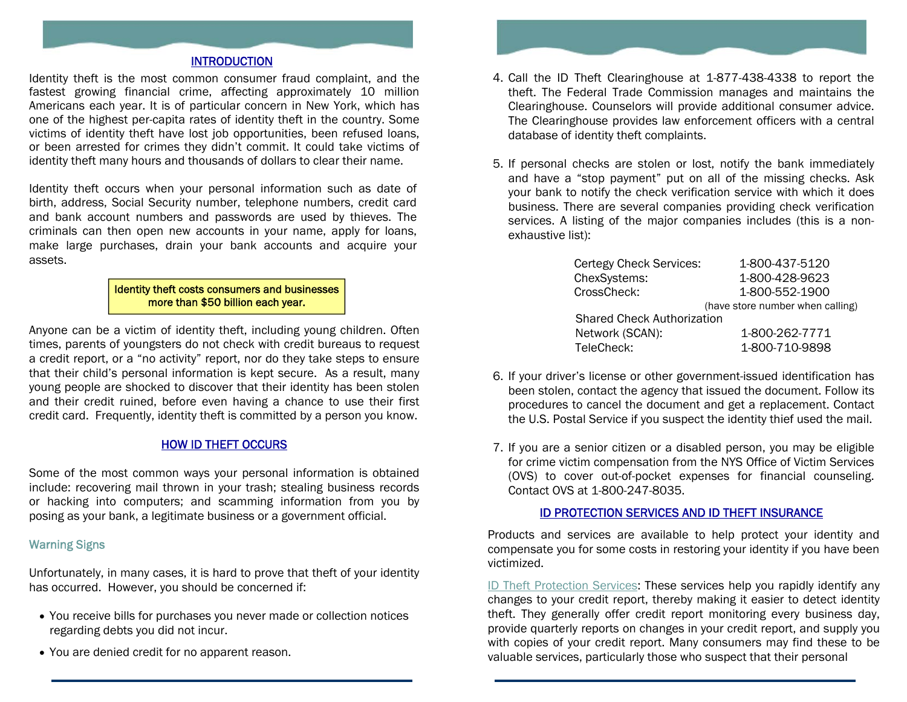# INTRODUCTION

Identity theft is the most common consumer fraud complaint, and the fastest growing financial crime, affecting approximately 10 million Americans each year. It is of particular concern in New York, which has one of the highest per-capita rates of identity theft in the country. Some victims of identity theft have lost job opportunities, been refused loans, or been arrested for crimes they didn't commit. It could take victims of identity theft many hours and thousands of dollars to clear their name.

Identity theft occurs when your personal information such as date of birth, address, Social Security number, telephone numbers, credit card and bank account numbers and passwords are used by thieves. The criminals can then open new accounts in your name, apply for loans, make large purchases, drain your bank accounts and acquire your assets.

#### Identity theft costs consumers and businesses more than \$50 billion each year.

Anyone can be a victim of identity theft, including young children. Often times, parents of youngsters do not check with credit bureaus to request a credit report, or a "no activity" report, nor do they take steps to ensure that their child's personal information is kept secure. As a result, many young people are shocked to discover that their identity has been stolen and their credit ruined, before even having a chance to use their first credit card. Frequently, identity theft is committed by a person you know.

# HOW ID THEFT OCCURS

Some of the most common ways your personal information is obtained include: recovering mail thrown in your trash; stealing business records or hacking into computers; and scamming information from you by posing as your bank, a legitimate business or a government official.

## Warning Signs

Unfortunately, in many cases, it is hard to prove that theft of your identity has occurred. However, you should be concerned if:

- You receive bills for purchases you never made or collection notices regarding debts you did not incur.
- You are denied credit for no apparent reason.



- 4. Call the ID Theft Clearinghouse at 1-877-438-4338 to report the theft. The Federal Trade Commission manages and maintains the Clearinghouse. Counselors will provide additional consumer advice. The Clearinghouse provides law enforcement officers with a central database of identity theft complaints.
- 5. If personal checks are stolen or lost, notify the bank immediately and have a "stop payment" put on all of the missing checks. Ask your bank to notify the check verification service with which it does business. There are several companies providing check verification services. A listing of the major companies includes (this is a nonexhaustive list):

| Certegy Check Services:           | 1-800-437-5120                   |
|-----------------------------------|----------------------------------|
| ChexSystems:                      | 1-800-428-9623                   |
| CrossCheck:                       | 1-800-552-1900                   |
|                                   | (have store number when calling) |
| <b>Shared Check Authorization</b> |                                  |
| Network (SCAN):                   | 1-800-262-7771                   |
| TeleCheck:                        | 1-800-710-9898                   |
|                                   |                                  |

- 6. If your driver's license or other government-issued identification has been stolen, contact the agency that issued the document. Follow its procedures to cancel the document and get a replacement. Contact the U.S. Postal Service if you suspect the identity thief used the mail.
- 7. If you are a senior citizen or a disabled person, you may be eligible for crime victim compensation from the NYS Office of Victim Services (OVS) to cover out-of-pocket expenses for financial counseling. Contact OVS at 1-800-247-8035.

#### ID PROTECTION SERVICES AND ID THEFT INSURANCE

Products and services are available to help protect your identity and compensate you for some costs in restoring your identity if you have been victimized.

ID Theft Protection Services: These services help you rapidly identify any changes to your credit report, thereby making it easier to detect identity theft. They generally offer credit report monitoring every business day, provide quarterly reports on changes in your credit report, and supply you with copies of your credit report. Many consumers may find these to be valuable services, particularly those who suspect that their personal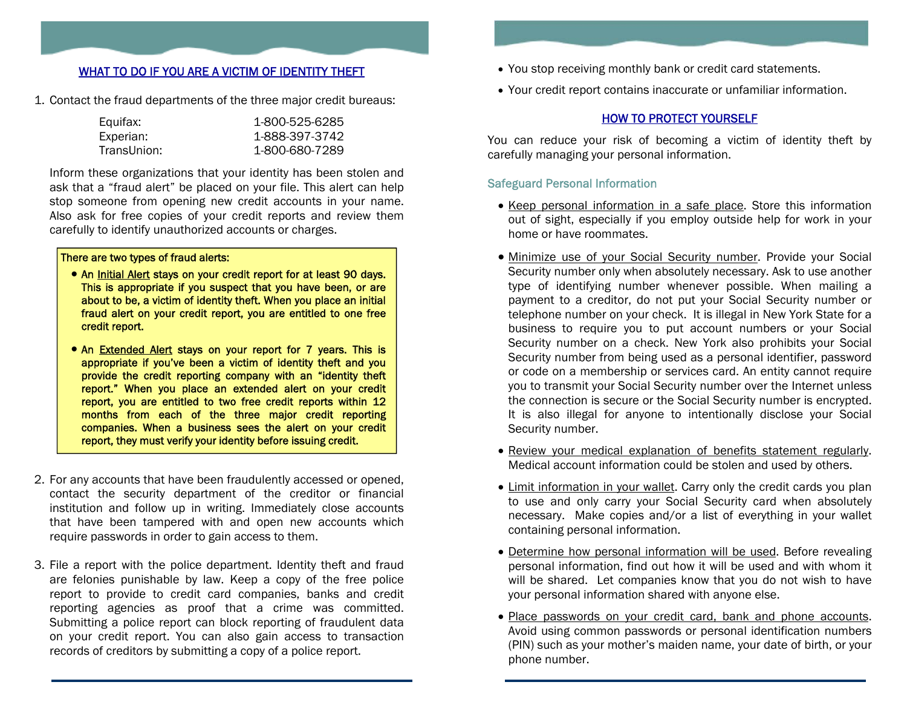# WHAT TO DO IF YOU ARE A VICTIM OF IDENTITY THEFT

1. Contact the fraud departments of the three major credit bureaus:

| Equifax:    | 1-800-525-6285 |
|-------------|----------------|
| Experian:   | 1-888-397-3742 |
| TransUnion: | 1-800-680-7289 |

Inform these organizations that your identity has been stolen and ask that a "fraud alert" be placed on your file. This alert can help stop someone from opening new credit accounts in your name. Also ask for free copies of your credit reports and review them carefully to identify unauthorized accounts or charges.

#### There are two types of fraud alerts:

- An Initial Alert stays on your credit report for at least 90 days. This is appropriate if you suspect that you have been, or are about to be, a victim of identity theft. When you place an initial fraud alert on your credit report, you are entitled to one free credit report.
- An Extended Alert stays on your report for 7 years. This is appropriate if you've been a victim of identity theft and you provide the credit reporting company with an "identity theft report." When you place an extended alert on your credit report, you are entitled to two free credit reports within 12 months from each of the three major credit reporting companies. When a business sees the alert on your credit report, they must verify your identity before issuing credit.
- 2. For any accounts that have been fraudulently accessed or opened, contact the security department of the creditor or financial institution and follow up in writing. Immediately close accounts that have been tampered with and open new accounts which require passwords in order to gain access to them.
- 3. File a report with the police department. Identity theft and fraud are felonies punishable by law. Keep a copy of the free police report to provide to credit card companies, banks and credit reporting agencies as proof that a crime was committed. Submitting a police report can block reporting of fraudulent data on your credit report. You can also gain access to transaction records of creditors by submitting a copy of a police report.
- You stop receiving monthly bank or credit card statements.
- Your credit report contains inaccurate or unfamiliar information.

## HOW TO PROTECT YOURSELF

You can reduce your risk of becoming a victim of identity theft by carefully managing your personal information.

## Safeguard Personal Information

- Keep personal information in a safe place. Store this information out of sight, especially if you employ outside help for work in your home or have roommates.
- Minimize use of your Social Security number. Provide your Social Security number only when absolutely necessary. Ask to use another type of identifying number whenever possible. When mailing a payment to a creditor, do not put your Social Security number or telephone number on your check. It is illegal in New York State for a business to require you to put account numbers or your Social Security number on a check. New York also prohibits your Social Security number from being used as a personal identifier, password or code on a membership or services card. An entity cannot require you to transmit your Social Security number over the Internet unless the connection is secure or the Social Security number is encrypted. It is also illegal for anyone to intentionally disclose your Social Security number.
- Review your medical explanation of benefits statement regularly. Medical account information could be stolen and used by others.
- Limit information in your wallet. Carry only the credit cards you plan to use and only carry your Social Security card when absolutely necessary. Make copies and/or a list of everything in your wallet containing personal information.
- Determine how personal information will be used. Before revealing personal information, find out how it will be used and with whom it will be shared. Let companies know that you do not wish to have your personal information shared with anyone else.
- Place passwords on your credit card, bank and phone accounts. Avoid using common passwords or personal identification numbers (PIN) such as your mother's maiden name, your date of birth, or your phone number.